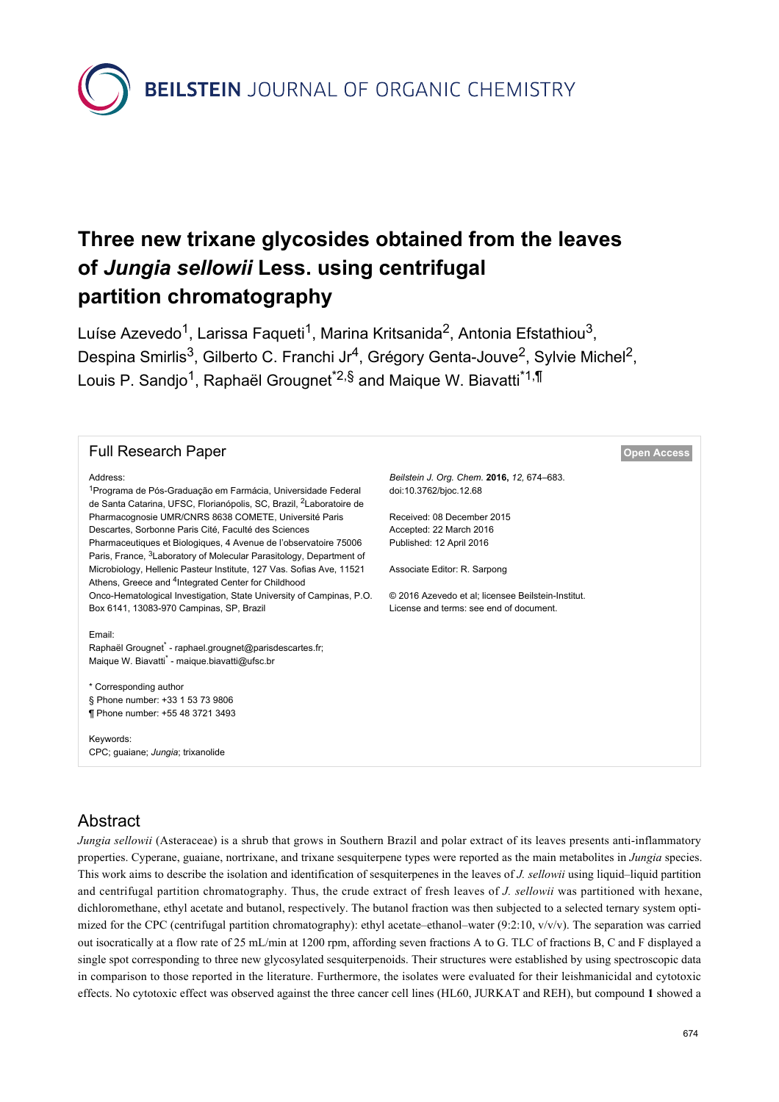**BEILSTEIN** JOURNAL OF ORGANIC CHEMISTRY

# **Three new trixane glycosides obtained from the leaves of** *Jungia sellowii* **Less. using centrifugal partition chromatography**

Luíse Azevedo<sup>1</sup>, Larissa Faqueti<sup>1</sup>, Marina Kritsanida<sup>2</sup>, Antonia Efstathiou<sup>3</sup>, Despina Smirlis<sup>3</sup>, Gilberto C. Franchi Jr<sup>4</sup>, Grégory Genta-Jouve<sup>2</sup>, Sylvie Michel<sup>2</sup>, Louis P. Sandjo<sup>1</sup>, Raphaël Grougnet<sup>\*2,§</sup> and Maique W. Biavatti<sup>\*1,¶</sup>

| <b>Full Research Paper</b>                                                                                                                                              |                                                                      | <b>Open Access</b> |
|-------------------------------------------------------------------------------------------------------------------------------------------------------------------------|----------------------------------------------------------------------|--------------------|
| Address:<br><sup>1</sup> Programa de Pós-Graduação em Farmácia, Universidade Federal<br>de Santa Catarina, UFSC, Florianópolis, SC, Brazil, <sup>2</sup> Laboratoire de | Beilstein J. Org. Chem. 2016, 12, 674-683.<br>doi:10.3762/bjoc.12.68 |                    |
| Pharmacognosie UMR/CNRS 8638 COMETE, Université Paris                                                                                                                   | Received: 08 December 2015                                           |                    |
| Descartes, Sorbonne Paris Cité, Faculté des Sciences                                                                                                                    | Accepted: 22 March 2016                                              |                    |
| Pharmaceutiques et Biologiques, 4 Avenue de l'observatoire 75006<br>Paris, France, <sup>3</sup> Laboratory of Molecular Parasitology, Department of                     | Published: 12 April 2016                                             |                    |
| Microbiology, Hellenic Pasteur Institute, 127 Vas. Sofias Ave, 11521<br>Athens, Greece and <sup>4</sup> Integrated Center for Childhood                                 | Associate Editor: R. Sarpong                                         |                    |
| Onco-Hematological Investigation, State University of Campinas, P.O.                                                                                                    | © 2016 Azevedo et al; licensee Beilstein-Institut.                   |                    |
| Box 6141, 13083-970 Campinas, SP, Brazil                                                                                                                                | License and terms: see end of document.                              |                    |
| Email:<br>Raphaël Grougnet" - raphael.grougnet@parisdescartes.fr;<br>Maique W. Biavatti <sup>®</sup> - maique.biavatti@ufsc.br                                          |                                                                      |                    |
| * Corresponding author<br>§ Phone number: +33 1 53 73 9806<br>¶ Phone number: +55 48 3721 3493                                                                          |                                                                      |                    |
| Keywords:<br>CPC; quaiane; Jungia; trixanolide                                                                                                                          |                                                                      |                    |

# Abstract

*Jungia sellowii* (Asteraceae) is a shrub that grows in Southern Brazil and polar extract of its leaves presents anti-inflammatory properties. Cyperane, guaiane, nortrixane, and trixane sesquiterpene types were reported as the main metabolites in *Jungia* species. This work aims to describe the isolation and identification of sesquiterpenes in the leaves of *J. sellowii* using liquid–liquid partition and centrifugal partition chromatography. Thus, the crude extract of fresh leaves of *J. sellowii* was partitioned with hexane, dichloromethane, ethyl acetate and butanol, respectively. The butanol fraction was then subjected to a selected ternary system optimized for the CPC (centrifugal partition chromatography): ethyl acetate–ethanol–water (9:2:10,  $v/v/v$ ). The separation was carried out isocratically at a flow rate of 25 mL/min at 1200 rpm, affording seven fractions A to G. TLC of fractions B, C and F displayed a single spot corresponding to three new glycosylated sesquiterpenoids. Their structures were established by using spectroscopic data in comparison to those reported in the literature. Furthermore, the isolates were evaluated for their leishmanicidal and cytotoxic effects. No cytotoxic effect was observed against the three cancer cell lines (HL60, JURKAT and REH), but compound **1** showed a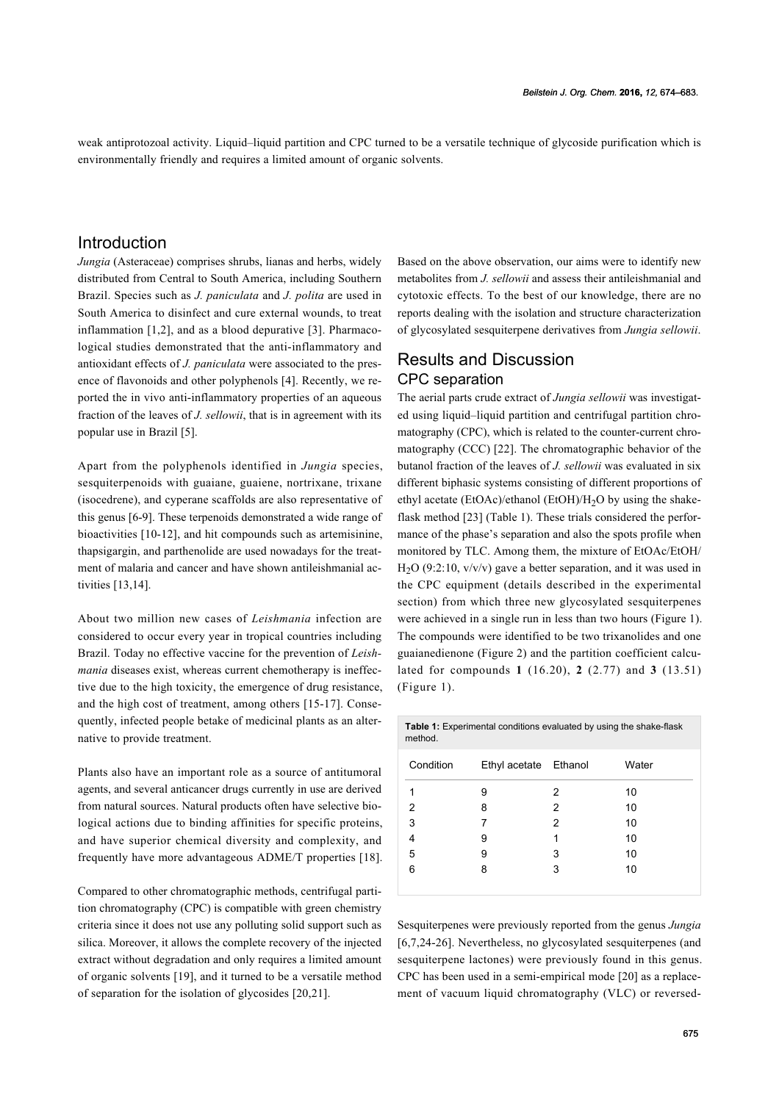weak antiprotozoal activity. Liquid–liquid partition and CPC turned to be a versatile technique of glycoside purification which is environmentally friendly and requires a limited amount of organic solvents.

### Introduction

*Jungia* (Asteraceae) comprises shrubs, lianas and herbs, widely distributed from Central to South America, including Southern Brazil. Species such as *J. paniculata* and *J. polita* are used in South America to disinfect and cure external wounds, to treat inflammation [\[1,2\]](#page-7-0), and as a blood depurative [\[3\]](#page-7-1). Pharmacological studies demonstrated that the anti-inflammatory and antioxidant effects of *J. paniculata* were associated to the presence of flavonoids and other polyphenols [\[4\].](#page-7-2) Recently, we reported the in vivo anti-inflammatory properties of an aqueous fraction of the leaves of *J. sellowii*, that is in agreement with its popular use in Brazil [\[5\].](#page-8-0)

Apart from the polyphenols identified in *Jungia* species, sesquiterpenoids with guaiane, guaiene, nortrixane, trixane (isocedrene), and cyperane scaffolds are also representative of this genus [\[6-9\]](#page-8-1). These terpenoids demonstrated a wide range of bioactivities [\[10-12\]](#page-8-2), and hit compounds such as artemisinine, thapsigargin, and parthenolide are used nowadays for the treatment of malaria and cancer and have shown antileishmanial activities [\[13,14\]](#page-8-3).

About two million new cases of *Leishmania* infection are considered to occur every year in tropical countries including Brazil. Today no effective vaccine for the prevention of *Leishmania* diseases exist, whereas current chemotherapy is ineffective due to the high toxicity, the emergence of drug resistance, and the high cost of treatment, among others [\[15-17\].](#page-8-4) Consequently, infected people betake of medicinal plants as an alternative to provide treatment.

Plants also have an important role as a source of antitumoral agents, and several anticancer drugs currently in use are derived from natural sources. Natural products often have selective biological actions due to binding affinities for specific proteins, and have superior chemical diversity and complexity, and frequently have more advantageous ADME/T properties [\[18\]](#page-8-5).

Compared to other chromatographic methods, centrifugal partition chromatography (CPC) is compatible with green chemistry criteria since it does not use any polluting solid support such as silica. Moreover, it allows the complete recovery of the injected extract without degradation and only requires a limited amount of organic solvents [\[19\]](#page-8-6), and it turned to be a versatile method of separation for the isolation of glycosides [\[20,21\]](#page-8-7).

Based on the above observation, our aims were to identify new metabolites from *J. sellowii* and assess their antileishmanial and cytotoxic effects. To the best of our knowledge, there are no reports dealing with the isolation and structure characterization of glycosylated sesquiterpene derivatives from *Jungia sellowii*.

# Results and Discussion CPC separation

The aerial parts crude extract of *Jungia sellowii* was investigated using liquid–liquid partition and centrifugal partition chromatography (CPC), which is related to the counter-current chromatography (CCC) [\[22\]](#page-8-8). The chromatographic behavior of the butanol fraction of the leaves of *J. sellowii* was evaluated in six different biphasic systems consisting of different proportions of ethyl acetate (EtOAc)/ethanol (EtOH)/H<sub>2</sub>O by using the shake-flask method [\[23\]](#page-8-9) [\(Table 1\)](#page-1-0). These trials considered the performance of the phase's separation and also the spots profile when monitored by TLC. Among them, the mixture of EtOAc/EtOH/  $H<sub>2</sub>O (9:2:10, v/v/v)$  gave a better separation, and it was used in the CPC equipment (details described in the experimental section) from which three new glycosylated sesquiterpenes were achieved in a single run in less than two hours [\(Figure 1](#page-2-0)). The compounds were identified to be two trixanolides and one guaianedienone ([Figure 2](#page-2-1)) and the partition coefficient calculated for compounds **1** (16.20), **2** (2.77) and **3** (13.51) ([Figure 1](#page-2-0)).

<span id="page-1-0"></span>

| method.   | <b>Table 1:</b> Experimental conditions evaluated by using the shake-flask |   |       |
|-----------|----------------------------------------------------------------------------|---|-------|
| Condition | Ethyl acetate Ethanol                                                      |   | Water |
| 1         | 9                                                                          | 2 | 10    |
| 2         | 8                                                                          | 2 | 10    |
| 3         | 7                                                                          | 2 | 10    |
| 4         | 9                                                                          | 1 | 10    |
| 5         | 9                                                                          | 3 | 10    |
| 6         | 8                                                                          | 3 | 10    |
|           |                                                                            |   |       |

Sesquiterpenes were previously reported from the genus *Jungia* [\[6,7,24-26\]](#page-8-1). Nevertheless, no glycosylated sesquiterpenes (and sesquiterpene lactones) were previously found in this genus. CPC has been used in a semi-empirical mode [\[20\]](#page-8-7) as a replacement of vacuum liquid chromatography (VLC) or reversed-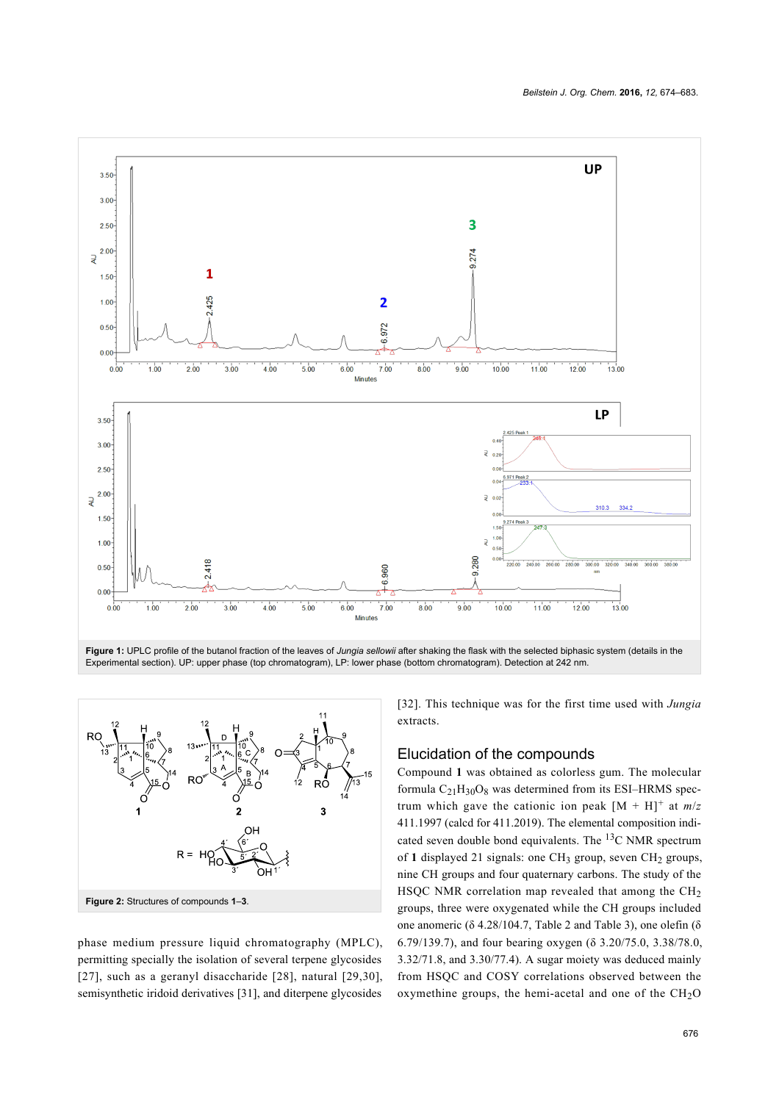<span id="page-2-0"></span>

<span id="page-2-1"></span>

phase medium pressure liquid chromatography (MPLC), permitting specially the isolation of several terpene glycosides [\[27\],](#page-8-10) such as a geranyl disaccharide [\[28\]](#page-8-11), natural [\[29,30\]](#page-8-12), semisynthetic iridoid derivatives [\[31\]](#page-8-13), and diterpene glycosides

[\[32\]](#page-8-14). This technique was for the first time used with *Jungia* extracts.

#### Elucidation of the compounds

Compound **1** was obtained as colorless gum. The molecular formula  $C_{21}H_{30}O_8$  was determined from its ESI-HRMS spectrum which gave the cationic ion peak  $[M + H]$ <sup>+</sup> at  $m/z$ 411.1997 (calcd for 411.2019). The elemental composition indicated seven double bond equivalents. The  ${}^{13}C$  NMR spectrum of 1 displayed 21 signals: one CH<sub>3</sub> group, seven CH<sub>2</sub> groups, nine CH groups and four quaternary carbons. The study of the HSQC NMR correlation map revealed that among the CH<sub>2</sub> groups, three were oxygenated while the CH groups included one anomeric (δ 4.28/104.7, [Table 2](#page-3-0) and [Table 3](#page-4-0)), one olefin (δ 6.79/139.7), and four bearing oxygen (δ 3.20/75.0, 3.38/78.0, 3.32/71.8, and 3.30/77.4). A sugar moiety was deduced mainly from HSQC and COSY correlations observed between the oxymethine groups, the hemi-acetal and one of the  $CH<sub>2</sub>O$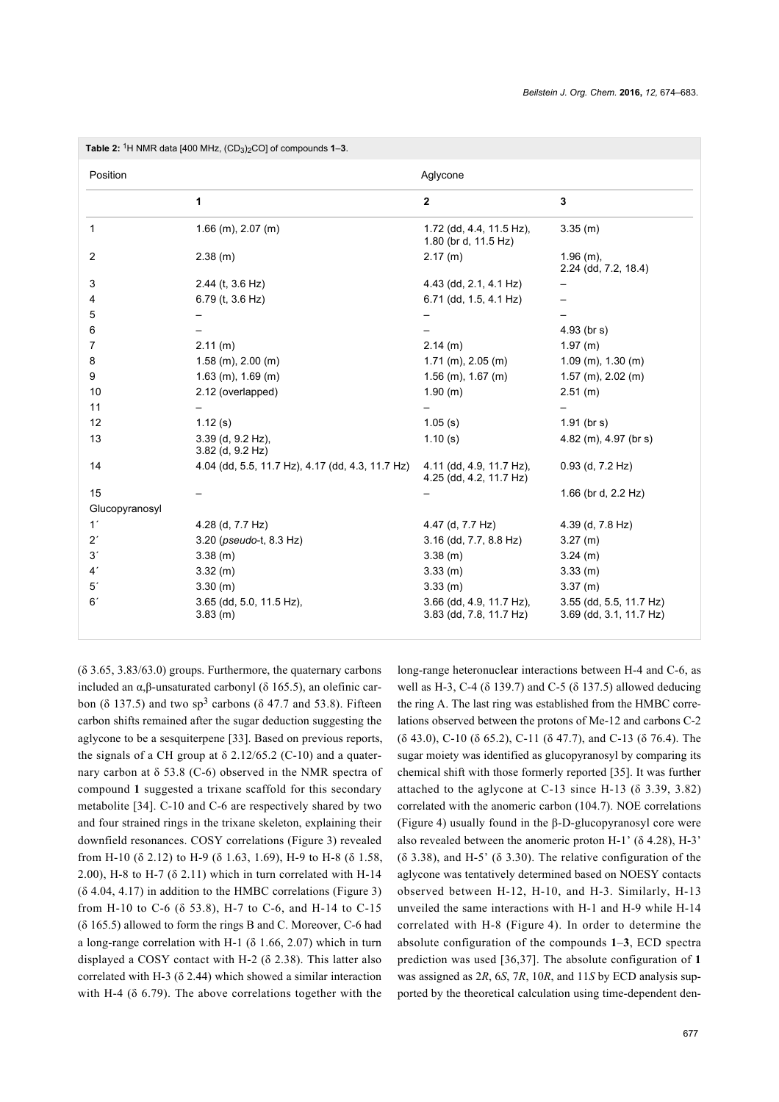<span id="page-3-0"></span>

| Position       |                                                  | Aglycone                                            |                                                    |
|----------------|--------------------------------------------------|-----------------------------------------------------|----------------------------------------------------|
|                | 1                                                | $\overline{2}$                                      | 3                                                  |
| 1              | $1.66$ (m), $2.07$ (m)                           | 1.72 (dd, 4.4, 11.5 Hz),<br>1.80 (br d, 11.5 Hz)    | 3.35(m)                                            |
| 2              | $2.38$ (m)                                       | $2.17$ (m)                                          | $1.96$ (m),<br>2.24 (dd, 7.2, 18.4)                |
| 3              | $2.44$ (t, $3.6$ Hz)                             | 4.43 (dd, 2.1, 4.1 Hz)                              |                                                    |
| 4              | 6.79 (t, 3.6 Hz)                                 | 6.71 (dd, 1.5, 4.1 Hz)                              |                                                    |
| 5              |                                                  |                                                     |                                                    |
| 6              |                                                  |                                                     | $4.93$ (br s)                                      |
| 7              | 2.11(m)                                          | $2.14$ (m)                                          | 1.97(m)                                            |
| 8              | $1.58$ (m), $2.00$ (m)                           | $1.71$ (m), $2.05$ (m)                              | $1.09$ (m), $1.30$ (m)                             |
| 9              | $1.63$ (m), $1.69$ (m)                           | $1.56$ (m), $1.67$ (m)                              | $1.57$ (m), $2.02$ (m)                             |
| 10             | 2.12 (overlapped)                                | 1.90(m)                                             | 2.51(m)                                            |
| 11             |                                                  |                                                     |                                                    |
| 12             | 1.12(s)                                          | 1.05(s)                                             | $1.91$ (br s)                                      |
| 13             | 3.39 (d, 9.2 Hz),<br>$3.82$ (d, $9.2$ Hz)        | 1.10(s)                                             | $4.82$ (m), $4.97$ (br s)                          |
| 14             | 4.04 (dd, 5.5, 11.7 Hz), 4.17 (dd, 4.3, 11.7 Hz) | 4.11 (dd, 4.9, 11.7 Hz),<br>4.25 (dd, 4.2, 11.7 Hz) | $0.93$ (d, $7.2$ Hz)                               |
| 15             |                                                  |                                                     | 1.66 (br d, 2.2 Hz)                                |
| Glucopyranosyl |                                                  |                                                     |                                                    |
| 1 <sup>′</sup> | 4.28 (d, 7.7 Hz)                                 | 4.47 (d, 7.7 Hz)                                    | 4.39 (d, 7.8 Hz)                                   |
| $2^r$          | 3.20 (pseudo-t, 8.3 Hz)                          | 3.16 (dd, 7.7, 8.8 Hz)                              | 3.27(m)                                            |
| 3'             | 3.38(m)                                          | $3.38$ (m)                                          | $3.24$ (m)                                         |
| 4 <sup>′</sup> | 3.32(m)                                          | 3.33(m)                                             | 3.33(m)                                            |
| 5 <sup>′</sup> | 3.30 (m)                                         | 3.33 (m)                                            | 3.37(m)                                            |
| 6'             | 3.65 (dd, 5.0, 11.5 Hz),<br>3.83(m)              | 3.66 (dd, 4.9, 11.7 Hz),<br>3.83 (dd, 7.8, 11.7 Hz) | 3.55 (dd, 5.5, 11.7 Hz)<br>3.69 (dd, 3.1, 11.7 Hz) |

(δ 3.65, 3.83/63.0) groups. Furthermore, the quaternary carbons included an α,β-unsaturated carbonyl (δ 165.5), an olefinic carbon ( $\delta$  137.5) and two sp<sup>3</sup> carbons ( $\delta$  47.7 and 53.8). Fifteen carbon shifts remained after the sugar deduction suggesting the aglycone to be a sesquiterpene [\[33\].](#page-8-15) Based on previous reports, the signals of a CH group at  $\delta$  2.12/65.2 (C-10) and a quaternary carbon at  $\delta$  53.8 (C-6) observed in the NMR spectra of compound **1** suggested a trixane scaffold for this secondary metabolite [\[34\]](#page-8-16). C-10 and C-6 are respectively shared by two and four strained rings in the trixane skeleton, explaining their downfield resonances. COSY correlations ([Figure 3](#page-4-1)) revealed from H-10 (δ 2.12) to H-9 (δ 1.63, 1.69), H-9 to H-8 (δ 1.58, 2.00), H-8 to H-7 ( $\delta$  2.11) which in turn correlated with H-14  $($ δ 4.04, 4.17) in addition to the HMBC correlations [\(Figure 3](#page-4-1)) from H-10 to C-6 (δ 53.8), H-7 to C-6, and H-14 to C-15 (δ 165.5) allowed to form the rings B and C. Moreover, C-6 had a long-range correlation with H-1 (δ 1.66, 2.07) which in turn displayed a COSY contact with H-2 (δ 2.38). This latter also correlated with H-3 ( $\delta$  2.44) which showed a similar interaction with H-4 ( $\delta$  6.79). The above correlations together with the

long-range heteronuclear interactions between H-4 and C-6, as well as H-3, C-4 (δ 139.7) and C-5 (δ 137.5) allowed deducing the ring A. The last ring was established from the HMBC correlations observed between the protons of Me-12 and carbons C-2 (δ 43.0), C-10 (δ 65.2), C-11 (δ 47.7), and C-13 (δ 76.4). The sugar moiety was identified as glucopyranosyl by comparing its chemical shift with those formerly reported [\[35\]](#page-8-17). It was further attached to the aglycone at C-13 since H-13 ( $\delta$  3.39, 3.82) correlated with the anomeric carbon (104.7). NOE correlations ([Figure 4\)](#page-4-2) usually found in the β-D-glucopyranosyl core were also revealed between the anomeric proton H-1'  $(\delta 4.28)$ , H-3' (δ 3.38), and H-5' (δ 3.30). The relative configuration of the aglycone was tentatively determined based on NOESY contacts observed between H-12, H-10, and H-3. Similarly, H-13 unveiled the same interactions with H-1 and H-9 while H-14 correlated with H-8 ([Figure 4](#page-4-2)). In order to determine the absolute configuration of the compounds **1**–**3**, ECD spectra prediction was used [\[36,37\]](#page-8-18). The absolute configuration of **1** was assigned as 2*R*, 6*S*, 7*R*, 10*R*, and 11*S* by ECD analysis supported by the theoretical calculation using time-dependent den-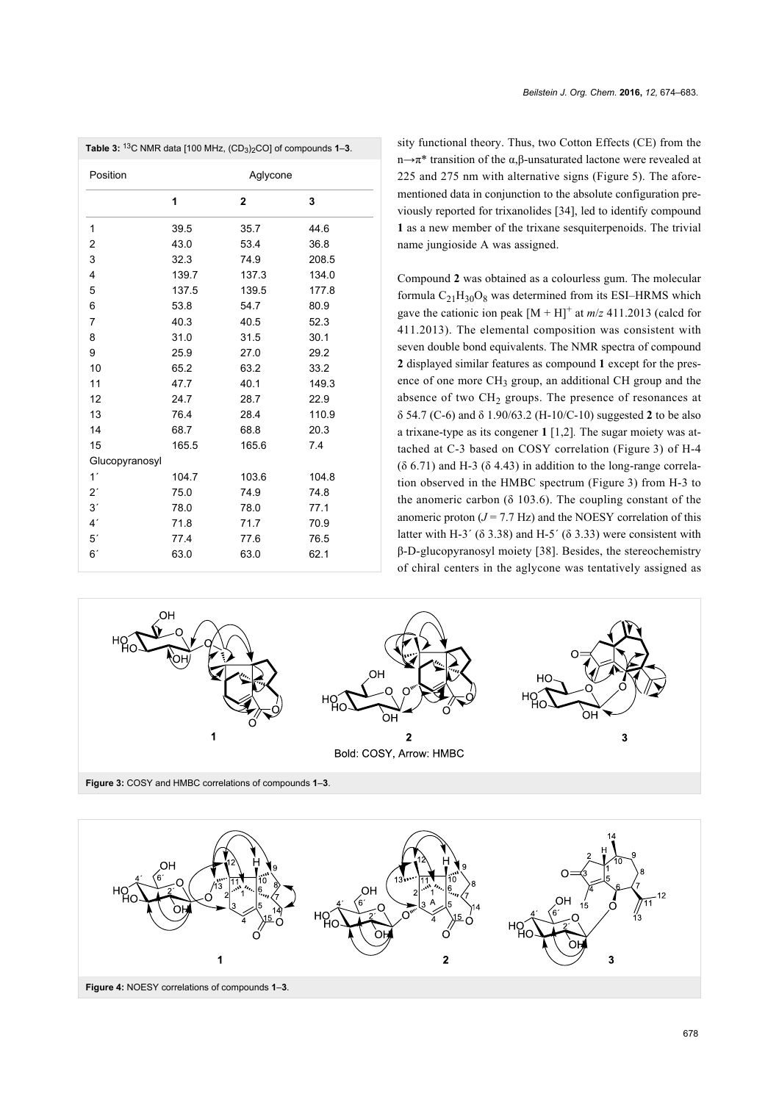<span id="page-4-0"></span>

| Position       |       | Aglycone       |       |  |
|----------------|-------|----------------|-------|--|
|                | 1     | $\overline{2}$ | 3     |  |
| 1              | 39.5  | 35.7           | 44.6  |  |
| 2              | 43.0  | 53.4           | 36.8  |  |
| 3              | 32.3  | 74.9           | 208.5 |  |
| 4              | 139.7 | 137.3          | 134.0 |  |
| 5              | 137.5 | 139.5          | 177.8 |  |
| 6              | 53.8  | 54.7           | 80.9  |  |
| 7              | 40.3  | 40.5           | 52.3  |  |
| 8              | 31.0  | 31.5           | 30.1  |  |
| 9              | 25.9  | 27.0           | 29.2  |  |
| 10             | 65.2  | 63.2           | 33.2  |  |
| 11             | 47.7  | 40.1           | 149.3 |  |
| 12             | 24.7  | 28.7           | 22.9  |  |
| 13             | 76.4  | 28.4           | 110.9 |  |
| 14             | 68.7  | 68.8           | 20.3  |  |
| 15             | 165.5 | 165.6          | 7.4   |  |
| Glucopyranosyl |       |                |       |  |
| 1 <sup>′</sup> | 104.7 | 103.6          | 104.8 |  |
| $2^r$          | 75.0  | 74.9           | 74.8  |  |
| 3'             | 78.0  | 78.0           | 77.1  |  |
| 4 <sup>′</sup> | 71.8  | 71.7           | 70.9  |  |
| 5 <sup>′</sup> | 77.4  | 77.6           | 76.5  |  |
| 6'             | 63.0  | 63.0           | 62.1  |  |

sity functional theory. Thus, two Cotton Effects (CE) from the n→π\* transition of the α,β-unsaturated lactone were revealed at 225 and 275 nm with alternative signs ([Figure 5](#page-5-0)). The aforementioned data in conjunction to the absolute configuration previously reported for trixanolides [\[34\],](#page-8-16) led to identify compound **1** as a new member of the trixane sesquiterpenoids. The trivial name jungioside A was assigned.

Compound **2** was obtained as a colourless gum. The molecular formula  $C_{21}H_{30}O_8$  was determined from its ESI–HRMS which gave the cationic ion peak  $[M + H]$ <sup>+</sup> at  $m/z$  411.2013 (calcd for 411.2013). The elemental composition was consistent with seven double bond equivalents. The NMR spectra of compound **2** displayed similar features as compound **1** except for the presence of one more CH<sub>3</sub> group, an additional CH group and the absence of two  $CH<sub>2</sub>$  groups. The presence of resonances at δ 54.7 (C-6) and δ 1.90/63.2 (H-10/C-10) suggested **2** to be also a trixane-type as its congener **1** [\[1,2\]](#page-7-0)*.* The sugar moiety was attached at C-3 based on COSY correlation ([Figure 3\)](#page-4-1) of H-4  $(δ 6.71)$  and H-3  $(δ 4.43)$  in addition to the long-range correlation observed in the HMBC spectrum [\(Figure 3](#page-4-1)) from H-3 to the anomeric carbon ( $\delta$  103.6). The coupling constant of the anomeric proton  $(J = 7.7 \text{ Hz})$  and the NOESY correlation of this latter with H-3<sup> $\prime$ </sup> ( $\delta$  3.38) and H-5<sup> $\prime$ </sup> ( $\delta$  3.33) were consistent with β-D-glucopyranosyl moiety [\[38\]](#page-8-19). Besides, the stereochemistry of chiral centers in the aglycone was tentatively assigned as

<span id="page-4-1"></span>

<span id="page-4-2"></span>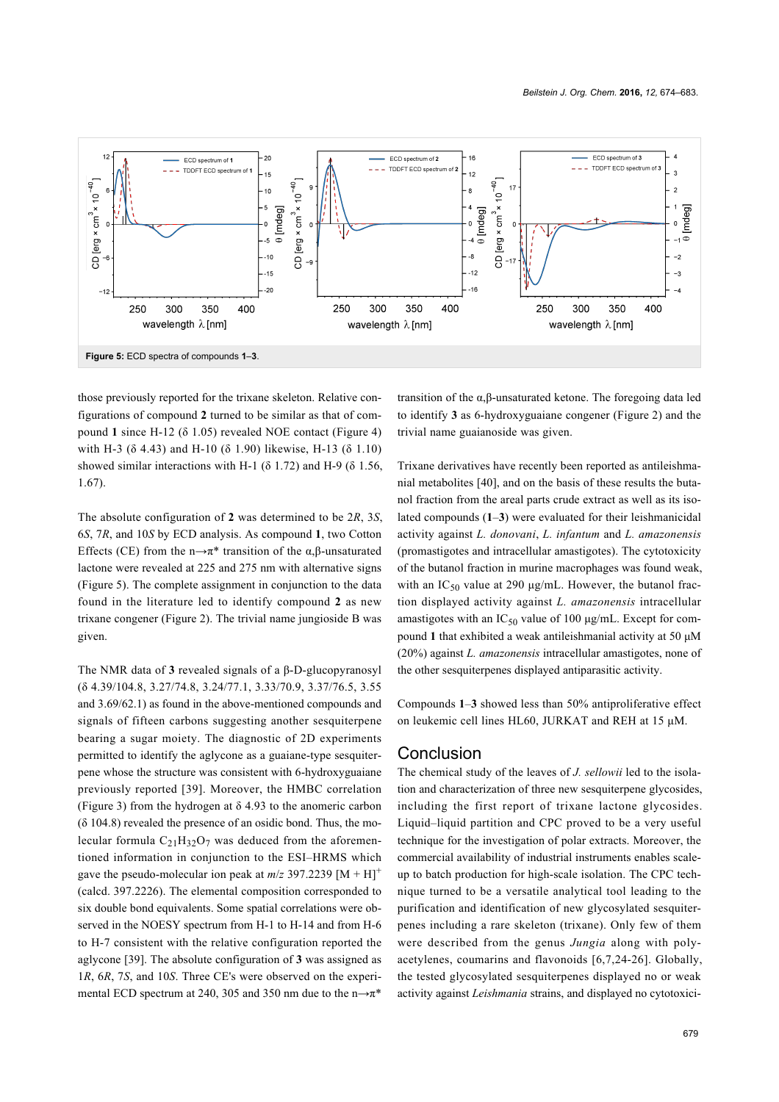<span id="page-5-0"></span>

those previously reported for the trixane skeleton. Relative configurations of compound **2** turned to be similar as that of compound **1** since H-12 (δ 1.05) revealed NOE contact ([Figure 4](#page-4-2)) with H-3 (δ 4.43) and H-10 (δ 1.90) likewise, H-13 (δ 1.10) showed similar interactions with H-1 ( $\delta$  1.72) and H-9 ( $\delta$  1.56, 1.67).

The absolute configuration of **2** was determined to be 2*R*, 3*S*, 6*S*, 7*R*, and 10*S* by ECD analysis. As compound **1**, two Cotton Effects (CE) from the n $\rightarrow \pi^*$  transition of the  $\alpha$ , $\beta$ -unsaturated lactone were revealed at 225 and 275 nm with alternative signs ([Figure 5](#page-5-0)). The complete assignment in conjunction to the data found in the literature led to identify compound **2** as new trixane congener [\(Figure 2](#page-2-1)). The trivial name jungioside B was given.

The NMR data of **3** revealed signals of a β-D-glucopyranosyl (δ 4.39/104.8, 3.27/74.8, 3.24/77.1, 3.33/70.9, 3.37/76.5, 3.55 and 3.69/62.1) as found in the above-mentioned compounds and signals of fifteen carbons suggesting another sesquiterpene bearing a sugar moiety. The diagnostic of 2D experiments permitted to identify the aglycone as a guaiane-type sesquiterpene whose the structure was consistent with 6-hydroxyguaiane previously reported [\[39\].](#page-8-20) Moreover, the HMBC correlation ([Figure 3\)](#page-4-1) from the hydrogen at δ 4.93 to the anomeric carbon (δ 104.8) revealed the presence of an osidic bond. Thus, the molecular formula  $C_{21}H_{32}O_7$  was deduced from the aforementioned information in conjunction to the ESI–HRMS which gave the pseudo-molecular ion peak at  $m/z$  397.2239 [M + H]<sup>+</sup> (calcd. 397.2226). The elemental composition corresponded to six double bond equivalents. Some spatial correlations were observed in the NOESY spectrum from H-1 to H-14 and from H-6 to H-7 consistent with the relative configuration reported the aglycone [\[39\]](#page-8-20). The absolute configuration of **3** was assigned as 1*R*, 6*R*, 7*S*, and 10*S*. Three CE's were observed on the experimental ECD spectrum at 240, 305 and 350 nm due to the  $n \rightarrow \pi^*$ 

transition of the α,β-unsaturated ketone. The foregoing data led to identify **3** as 6-hydroxyguaiane congener ([Figure 2\)](#page-2-1) and the trivial name guaianoside was given.

Trixane derivatives have recently been reported as antileishmanial metabolites [\[40\]](#page-8-21), and on the basis of these results the butanol fraction from the areal parts crude extract as well as its isolated compounds (**1**–**3**) were evaluated for their leishmanicidal activity against *L. donovani*, *L. infantum* and *L. amazonensis* (promastigotes and intracellular amastigotes). The cytotoxicity of the butanol fraction in murine macrophages was found weak, with an  $IC_{50}$  value at 290  $\mu$ g/mL. However, the butanol fraction displayed activity against *L. amazonensis* intracellular amastigotes with an  $IC_{50}$  value of 100 μg/mL. Except for compound **1** that exhibited a weak antileishmanial activity at 50 μM (20%) against *L. amazonensis* intracellular amastigotes, none of the other sesquiterpenes displayed antiparasitic activity.

Compounds **1**–**3** showed less than 50% antiproliferative effect on leukemic cell lines HL60, JURKAT and REH at 15 μM.

#### Conclusion

The chemical study of the leaves of *J. sellowii* led to the isolation and characterization of three new sesquiterpene glycosides, including the first report of trixane lactone glycosides. Liquid–liquid partition and CPC proved to be a very useful technique for the investigation of polar extracts. Moreover, the commercial availability of industrial instruments enables scaleup to batch production for high-scale isolation. The CPC technique turned to be a versatile analytical tool leading to the purification and identification of new glycosylated sesquiterpenes including a rare skeleton (trixane). Only few of them were described from the genus *Jungia* along with polyacetylenes, coumarins and flavonoids [\[6,7,24-26\]](#page-8-1). Globally, the tested glycosylated sesquiterpenes displayed no or weak activity against *Leishmania* strains, and displayed no cytotoxici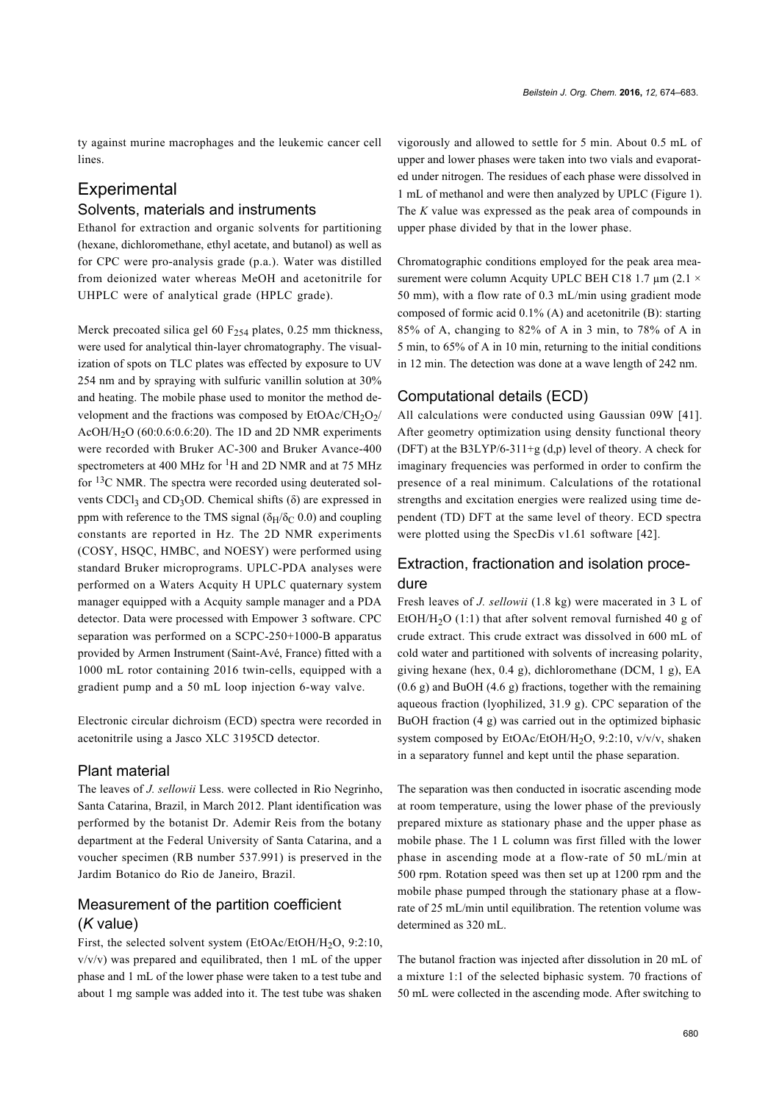ty against murine macrophages and the leukemic cancer cell lines.

# **Experimental**

#### Solvents, materials and instruments

Ethanol for extraction and organic solvents for partitioning (hexane, dichloromethane, ethyl acetate, and butanol) as well as for CPC were pro-analysis grade (p.a.). Water was distilled from deionized water whereas MeOH and acetonitrile for UHPLC were of analytical grade (HPLC grade).

Merck precoated silica gel 60  $F_{254}$  plates, 0.25 mm thickness, were used for analytical thin-layer chromatography. The visualization of spots on TLC plates was effected by exposure to UV 254 nm and by spraying with sulfuric vanillin solution at 30% and heating. The mobile phase used to monitor the method development and the fractions was composed by  $EtOAC/CH<sub>2</sub>O<sub>2</sub>/$ AcOH/H<sub>2</sub>O (60:0.6:0.6:20). The 1D and 2D NMR experiments were recorded with Bruker AC-300 and Bruker Avance-400 spectrometers at 400 MHz for <sup>1</sup>H and 2D NMR and at 75 MHz for 13C NMR. The spectra were recorded using deuterated solvents CDCl<sub>3</sub> and CD<sub>3</sub>OD. Chemical shifts ( $\delta$ ) are expressed in ppm with reference to the TMS signal ( $\delta_H/\delta_C$  0.0) and coupling constants are reported in Hz. The 2D NMR experiments (COSY, HSQC, HMBC, and NOESY) were performed using standard Bruker microprograms. UPLC-PDA analyses were performed on a Waters Acquity H UPLC quaternary system manager equipped with a Acquity sample manager and a PDA detector. Data were processed with Empower 3 software. CPC separation was performed on a SCPC-250+1000-B apparatus provided by Armen Instrument (Saint-Avé, France) fitted with a 1000 mL rotor containing 2016 twin-cells, equipped with a gradient pump and a 50 mL loop injection 6-way valve.

Electronic circular dichroism (ECD) spectra were recorded in acetonitrile using a Jasco XLC 3195CD detector.

#### Plant material

The leaves of *J. sellowii* Less. were collected in Rio Negrinho, Santa Catarina, Brazil, in March 2012. Plant identification was performed by the botanist Dr. Ademir Reis from the botany department at the Federal University of Santa Catarina, and a voucher specimen (RB number 537.991) is preserved in the Jardim Botanico do Rio de Janeiro, Brazil.

# Measurement of the partition coefficient (*K* value)

First, the selected solvent system (EtOAc/EtOH/H<sub>2</sub>O, 9:2:10,  $v/v/v$ ) was prepared and equilibrated, then 1 mL of the upper phase and 1 mL of the lower phase were taken to a test tube and about 1 mg sample was added into it. The test tube was shaken

vigorously and allowed to settle for 5 min. About 0.5 mL of upper and lower phases were taken into two vials and evaporated under nitrogen. The residues of each phase were dissolved in 1 mL of methanol and were then analyzed by UPLC [\(Figure 1](#page-2-0)). The *K* value was expressed as the peak area of compounds in upper phase divided by that in the lower phase.

Chromatographic conditions employed for the peak area measurement were column Acquity UPLC BEH C18 1.7  $\mu$ m (2.1  $\times$ 50 mm), with a flow rate of 0.3 mL/min using gradient mode composed of formic acid 0.1% (A) and acetonitrile (B): starting 85% of A, changing to 82% of A in 3 min, to 78% of A in 5 min, to 65% of A in 10 min, returning to the initial conditions in 12 min. The detection was done at a wave length of 242 nm.

#### Computational details (ECD)

All calculations were conducted using Gaussian 09W [\[41\]](#page-8-22). After geometry optimization using density functional theory (DFT) at the B3LYP/6-311+g (d,p) level of theory. A check for imaginary frequencies was performed in order to confirm the presence of a real minimum. Calculations of the rotational strengths and excitation energies were realized using time dependent (TD) DFT at the same level of theory. ECD spectra were plotted using the SpecDis v1.61 software [\[42\]](#page-8-23).

## Extraction, fractionation and isolation procedure

Fresh leaves of *J. sellowii* (1.8 kg) were macerated in 3 L of EtOH/H<sub>2</sub>O (1:1) that after solvent removal furnished 40 g of crude extract. This crude extract was dissolved in 600 mL of cold water and partitioned with solvents of increasing polarity, giving hexane (hex, 0.4 g), dichloromethane (DCM, 1 g), EA (0.6 g) and BuOH (4.6 g) fractions, together with the remaining aqueous fraction (lyophilized, 31.9 g). CPC separation of the BuOH fraction (4 g) was carried out in the optimized biphasic system composed by EtOAc/EtOH/H<sub>2</sub>O, 9:2:10, v/v/v, shaken in a separatory funnel and kept until the phase separation.

The separation was then conducted in isocratic ascending mode at room temperature, using the lower phase of the previously prepared mixture as stationary phase and the upper phase as mobile phase. The 1 L column was first filled with the lower phase in ascending mode at a flow-rate of 50 mL/min at 500 rpm. Rotation speed was then set up at 1200 rpm and the mobile phase pumped through the stationary phase at a flowrate of 25 mL/min until equilibration. The retention volume was determined as 320 mL.

The butanol fraction was injected after dissolution in 20 mL of a mixture 1:1 of the selected biphasic system. 70 fractions of 50 mL were collected in the ascending mode. After switching to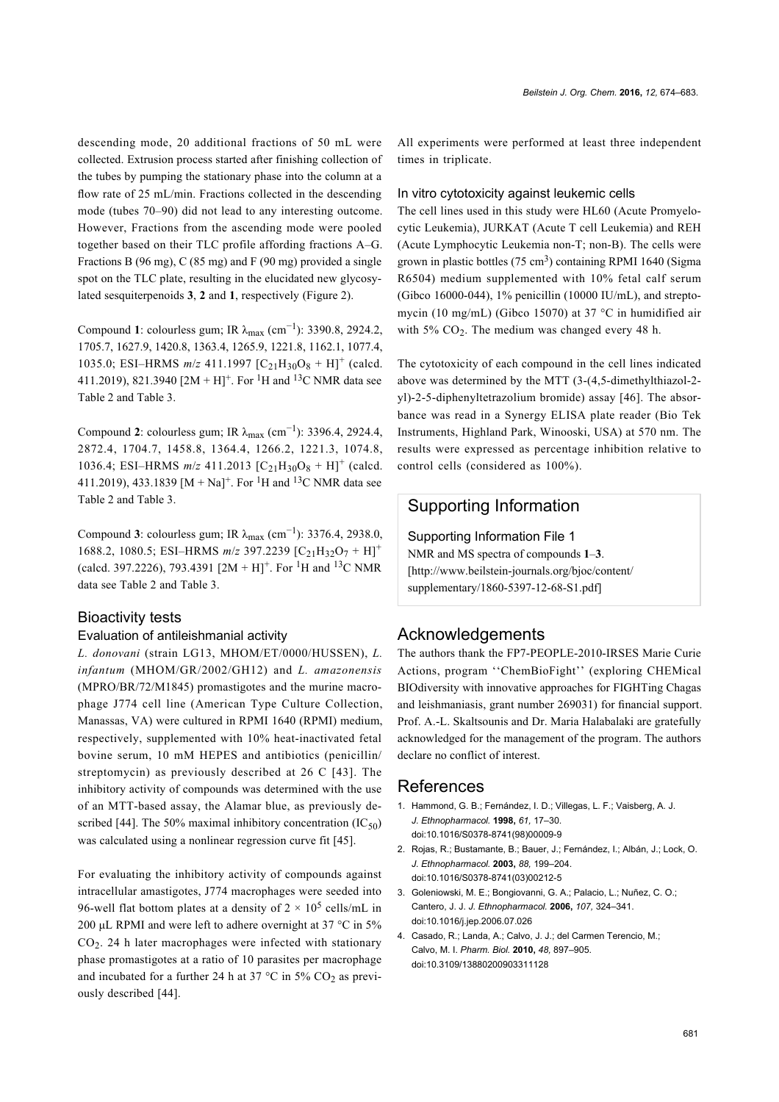descending mode, 20 additional fractions of 50 mL were collected. Extrusion process started after finishing collection of the tubes by pumping the stationary phase into the column at a flow rate of 25 mL/min. Fractions collected in the descending mode (tubes 70–90) did not lead to any interesting outcome. However, Fractions from the ascending mode were pooled together based on their TLC profile affording fractions A–G. Fractions B (96 mg), C (85 mg) and F (90 mg) provided a single spot on the TLC plate, resulting in the elucidated new glycosylated sesquiterpenoids **3**, **2** and **1**, respectively [\(Figure 2\)](#page-2-1).

Compound **1**: colourless gum; IR  $λ_{max}$  (cm<sup>-1</sup>): 3390.8, 2924.2, 1705.7, 1627.9, 1420.8, 1363.4, 1265.9, 1221.8, 1162.1, 1077.4, 1035.0; ESI-HRMS  $m/z$  411.1997 [C<sub>21</sub>H<sub>30</sub>O<sub>8</sub> + H]<sup>+</sup> (calcd. 411.2019), 821.3940 [2M + H]<sup>+</sup>. For <sup>1</sup>H and <sup>13</sup>C NMR data see [Table 2](#page-3-0) and [Table 3](#page-4-0).

Compound 2: colourless gum; IR  $\lambda_{\text{max}}$  (cm<sup>-1</sup>): 3396.4, 2924.4, 2872.4, 1704.7, 1458.8, 1364.4, 1266.2, 1221.3, 1074.8, 1036.4; ESI-HRMS  $m/z$  411.2013 [C<sub>21</sub>H<sub>30</sub>O<sub>8</sub> + H]<sup>+</sup> (calcd. 411.2019), 433.1839 [M + Na]<sup>+</sup>. For <sup>1</sup>H and <sup>13</sup>C NMR data see [Table 2](#page-3-0) and [Table 3](#page-4-0).

Compound **3**: colourless gum; IR  $λ_{max}$  (cm<sup>-1</sup>): 3376.4, 2938.0, 1688.2, 1080.5; ESI-HRMS  $m/z$  397.2239  $[C_{21}H_{32}O_7 + H]^+$ (calcd. 397.2226), 793.4391  $[2M + H]^{+}$ . For <sup>1</sup>H and <sup>13</sup>C NMR data see [Table 2](#page-3-0) and [Table 3](#page-4-0).

# Bioactivity tests

#### Evaluation of antileishmanial activity

*L. donovani* (strain LG13, MHOM/ET/0000/HUSSEN), *L. infantum* (MHOM/GR/2002/GH12) and *L. amazonensis* (MPRO/BR/72/M1845) promastigotes and the murine macrophage J774 cell line (American Type Culture Collection, Manassas, VA) were cultured in RPMI 1640 (RPMI) medium, respectively, supplemented with 10% heat-inactivated fetal bovine serum, 10 mM HEPES and antibiotics (penicillin/ streptomycin) as previously described at 26 C [\[43\]](#page-8-24). The inhibitory activity of compounds was determined with the use of an MTT-based assay, the Alamar blue, as previously de-scribed [\[44\]](#page-8-25). The 50% maximal inhibitory concentration  $(IC_{50})$ was calculated using a nonlinear regression curve fit [\[45\].](#page-8-26)

For evaluating the inhibitory activity of compounds against intracellular amastigotes, J774 macrophages were seeded into 96-well flat bottom plates at a density of  $2 \times 10^5$  cells/mL in 200 μL RPMI and were left to adhere overnight at 37 °C in 5% CO<sup>2</sup> . 24 h later macrophages were infected with stationary phase promastigotes at a ratio of 10 parasites per macrophage and incubated for a further 24 h at 37  $^{\circ}$ C in 5% CO<sub>2</sub> as previously described [\[44\].](#page-8-25)

All experiments were performed at least three independent times in triplicate.

#### In vitro cytotoxicity against leukemic cells

The cell lines used in this study were HL60 (Acute Promyelocytic Leukemia), JURKAT (Acute T cell Leukemia) and REH (Acute Lymphocytic Leukemia non-T; non-B). The cells were grown in plastic bottles (75 cm<sup>3</sup>) containing RPMI 1640 (Sigma R6504) medium supplemented with 10% fetal calf serum (Gibco 16000-044), 1% penicillin (10000 IU/mL), and streptomycin (10 mg/mL) (Gibco 15070) at 37 °C in humidified air with 5%  $CO<sub>2</sub>$ . The medium was changed every 48 h.

The cytotoxicity of each compound in the cell lines indicated above was determined by the MTT (3-(4,5-dimethylthiazol-2 yl)-2-5-diphenyltetrazolium bromide) assay [\[46\]](#page-8-27). The absorbance was read in a Synergy ELISA plate reader (Bio Tek Instruments, Highland Park, Winooski, USA) at 570 nm. The results were expressed as percentage inhibition relative to control cells (considered as 100%).

### Supporting Information

#### Supporting Information File 1

NMR and MS spectra of compounds **1**–**3**. [\[http://www.beilstein-journals.org/bjoc/content/](http://www.beilstein-journals.org/bjoc/content/supplementary/1860-5397-12-68-S1.pdf) [supplementary/1860-5397-12-68-S1.pdf\]](http://www.beilstein-journals.org/bjoc/content/supplementary/1860-5397-12-68-S1.pdf)

#### Acknowledgements

The authors thank the FP7-PEOPLE-2010-IRSES Marie Curie Actions, program ''ChemBioFight'' (exploring CHEMical BIOdiversity with innovative approaches for FIGHTing Chagas and leishmaniasis, grant number 269031) for financial support. Prof. A.-L. Skaltsounis and Dr. Maria Halabalaki are gratefully acknowledged for the management of the program. The authors declare no conflict of interest.

#### References

- <span id="page-7-0"></span>1. Hammond, G. B.; Fernández, I. D.; Villegas, L. F.; Vaisberg, A. J. *J. Ethnopharmacol.* **1998,** *61,* 17–30. [doi:10.1016/S0378-8741\(98\)00009-9](http://dx.doi.org/10.1016%2FS0378-8741%2898%2900009-9)
- 2. Rojas, R.; Bustamante, B.; Bauer, J.; Fernández, I.; Albán, J.; Lock, O. *J. Ethnopharmacol.* **2003,** *88,* 199–204. [doi:10.1016/S0378-8741\(03\)00212-5](http://dx.doi.org/10.1016%2FS0378-8741%2803%2900212-5)
- <span id="page-7-1"></span>3. Goleniowski, M. E.; Bongiovanni, G. A.; Palacio, L.; Nuñez, C. O.; Cantero, J. J. *J. Ethnopharmacol.* **2006,** *107,* 324–341. [doi:10.1016/j.jep.2006.07.026](http://dx.doi.org/10.1016%2Fj.jep.2006.07.026)
- <span id="page-7-2"></span>4. Casado, R.; Landa, A.; Calvo, J. J.; del Carmen Terencio, M.; Calvo, M. I. *Pharm. Biol.* **2010,** *48,* 897–905. [doi:10.3109/13880200903311128](http://dx.doi.org/10.3109%2F13880200903311128)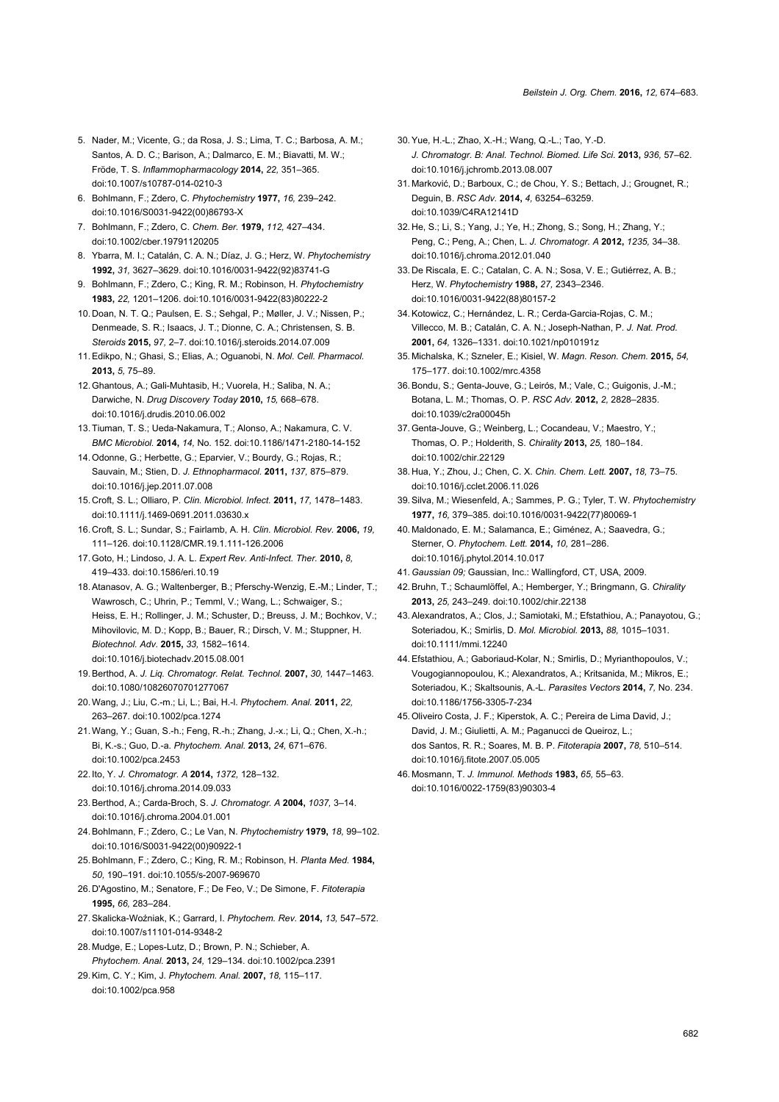- <span id="page-8-0"></span>5. Nader, M.; Vicente, G.; da Rosa, J. S.; Lima, T. C.; Barbosa, A. M.; Santos, A. D. C.; Barison, A.; Dalmarco, E. M.; Biavatti, M. W.; Fröde, T. S. *Inflammopharmacology* **2014,** *22,* 351–365. [doi:10.1007/s10787-014-0210-3](http://dx.doi.org/10.1007%2Fs10787-014-0210-3)
- <span id="page-8-1"></span>6. Bohlmann, F.; Zdero, C. *Phytochemistry* **1977,** *16,* 239–242. [doi:10.1016/S0031-9422\(00\)86793-X](http://dx.doi.org/10.1016%2FS0031-9422%2800%2986793-X)
- 7. Bohlmann, F.; Zdero, C. *Chem. Ber.* **1979,** *112,* 427–434. [doi:10.1002/cber.19791120205](http://dx.doi.org/10.1002%2Fcber.19791120205)
- 8. Ybarra, M. I.; Catalán, C. A. N.; Díaz, J. G.; Herz, W. *Phytochemistry* **1992,** *31,* 3627–3629. [doi:10.1016/0031-9422\(92\)83741-G](http://dx.doi.org/10.1016%2F0031-9422%2892%2983741-G)
- 9. Bohlmann, F.; Zdero, C.; King, R. M.; Robinson, H. *Phytochemistry* **1983,** *22,* 1201–1206. [doi:10.1016/0031-9422\(83\)80222-2](http://dx.doi.org/10.1016%2F0031-9422%2883%2980222-2)
- <span id="page-8-2"></span>10. Doan, N. T. Q.; Paulsen, E. S.; Sehgal, P.; Møller, J. V.; Nissen, P.; Denmeade, S. R.; Isaacs, J. T.; Dionne, C. A.; Christensen, S. B. *Steroids* **2015,** *97,* 2–7. [doi:10.1016/j.steroids.2014.07.009](http://dx.doi.org/10.1016%2Fj.steroids.2014.07.009)
- 11.Edikpo, N.; Ghasi, S.; Elias, A.; Oguanobi, N. *Mol. Cell. Pharmacol.* **2013,** *5,* 75–89.
- 12.Ghantous, A.; Gali-Muhtasib, H.; Vuorela, H.; Saliba, N. A.; Darwiche, N. *Drug Discovery Today* **2010,** *15,* 668–678. [doi:10.1016/j.drudis.2010.06.002](http://dx.doi.org/10.1016%2Fj.drudis.2010.06.002)
- <span id="page-8-3"></span>13.Tiuman, T. S.; Ueda-Nakamura, T.; Alonso, A.; Nakamura, C. V. *BMC Microbiol.* **2014,** *14,* No. 152. [doi:10.1186/1471-2180-14-152](http://dx.doi.org/10.1186%2F1471-2180-14-152)
- 14.Odonne, G.; Herbette, G.; Eparvier, V.; Bourdy, G.; Rojas, R.; Sauvain, M.; Stien, D. *J. Ethnopharmacol.* **2011,** *137,* 875–879. [doi:10.1016/j.jep.2011.07.008](http://dx.doi.org/10.1016%2Fj.jep.2011.07.008)
- <span id="page-8-4"></span>15. Croft, S. L.; Olliaro, P. *Clin. Microbiol. Infect.* **2011,** *17,* 1478–1483. [doi:10.1111/j.1469-0691.2011.03630.x](http://dx.doi.org/10.1111%2Fj.1469-0691.2011.03630.x)
- 16. Croft, S. L.; Sundar, S.; Fairlamb, A. H. *Clin. Microbiol. Rev.* **2006,** *19,* 111–126. [doi:10.1128/CMR.19.1.111-126.2006](http://dx.doi.org/10.1128%2FCMR.19.1.111-126.2006)
- 17.Goto, H.; Lindoso, J. A. L. *Expert Rev. Anti-Infect. Ther.* **2010,** *8,* 419–433. [doi:10.1586/eri.10.19](http://dx.doi.org/10.1586%2Feri.10.19)
- <span id="page-8-5"></span>18.Atanasov, A. G.; Waltenberger, B.; Pferschy-Wenzig, E.-M.; Linder, T.; Wawrosch, C.; Uhrin, P.; Temml, V.; Wang, L.; Schwaiger, S.; Heiss, E. H.; Rollinger, J. M.; Schuster, D.; Breuss, J. M.; Bochkov, V.; Mihovilovic, M. D.; Kopp, B.; Bauer, R.; Dirsch, V. M.; Stuppner, H. *Biotechnol. Adv.* **2015,** *33,* 1582–1614. [doi:10.1016/j.biotechadv.2015.08.001](http://dx.doi.org/10.1016%2Fj.biotechadv.2015.08.001)
- <span id="page-8-6"></span>19.Berthod, A. *J. Liq. Chromatogr. Relat. Technol.* **2007,** *30,* 1447–1463. [doi:10.1080/10826070701277067](http://dx.doi.org/10.1080%2F10826070701277067)
- <span id="page-8-7"></span>20.Wang, J.; Liu, C.-m.; Li, L.; Bai, H.-l. *Phytochem. Anal.* **2011,** *22,* 263–267. [doi:10.1002/pca.1274](http://dx.doi.org/10.1002%2Fpca.1274)
- 21.Wang, Y.; Guan, S.-h.; Feng, R.-h.; Zhang, J.-x.; Li, Q.; Chen, X.-h.; Bi, K.-s.; Guo, D.-a. *Phytochem. Anal.* **2013,** *24,* 671–676. [doi:10.1002/pca.2453](http://dx.doi.org/10.1002%2Fpca.2453)
- <span id="page-8-8"></span>22. Ito, Y. *J. Chromatogr. A* **2014,** *1372,* 128–132. [doi:10.1016/j.chroma.2014.09.033](http://dx.doi.org/10.1016%2Fj.chroma.2014.09.033)
- <span id="page-8-9"></span>23.Berthod, A.; Carda-Broch, S. *J. Chromatogr. A* **2004,** *1037,* 3–14. [doi:10.1016/j.chroma.2004.01.001](http://dx.doi.org/10.1016%2Fj.chroma.2004.01.001)
- 24.Bohlmann, F.; Zdero, C.; Le Van, N. *Phytochemistry* **1979,** *18,* 99–102. [doi:10.1016/S0031-9422\(00\)90922-1](http://dx.doi.org/10.1016%2FS0031-9422%2800%2990922-1)
- 25.Bohlmann, F.; Zdero, C.; King, R. M.; Robinson, H. *Planta Med.* **1984,** *50,* 190–191. [doi:10.1055/s-2007-969670](http://dx.doi.org/10.1055%2Fs-2007-969670)
- 26. D'Agostino, M.; Senatore, F.; De Feo, V.; De Simone, F. *Fitoterapia* **1995,** *66,* 283–284.
- <span id="page-8-10"></span>27.Skalicka-Woźniak, K.; Garrard, I. *Phytochem. Rev.* **2014,** *13,* 547–572. [doi:10.1007/s11101-014-9348-2](http://dx.doi.org/10.1007%2Fs11101-014-9348-2)
- <span id="page-8-11"></span>28. Mudge, E.; Lopes-Lutz, D.; Brown, P. N.; Schieber, A. *Phytochem. Anal.* **2013,** *24,* 129–134. [doi:10.1002/pca.2391](http://dx.doi.org/10.1002%2Fpca.2391)
- <span id="page-8-12"></span>29.Kim, C. Y.; Kim, J. *Phytochem. Anal.* **2007,** *18,* 115–117. [doi:10.1002/pca.958](http://dx.doi.org/10.1002%2Fpca.958)
- 30.Yue, H.-L.; Zhao, X.-H.; Wang, Q.-L.; Tao, Y.-D. *J. Chromatogr. B: Anal. Technol. Biomed. Life Sci.* **2013,** *936,* 57–62. [doi:10.1016/j.jchromb.2013.08.007](http://dx.doi.org/10.1016%2Fj.jchromb.2013.08.007)
- <span id="page-8-13"></span>31. Marković, D.; Barboux, C.; de Chou, Y. S.; Bettach, J.; Grougnet, R.; Deguin, B. *RSC Adv.* **2014,** *4,* 63254–63259. [doi:10.1039/C4RA12141D](http://dx.doi.org/10.1039%2FC4RA12141D)
- <span id="page-8-14"></span>32. He, S.; Li, S.; Yang, J.; Ye, H.; Zhong, S.; Song, H.; Zhang, Y.; Peng, C.; Peng, A.; Chen, L. *J. Chromatogr. A* **2012,** *1235,* 34–38. [doi:10.1016/j.chroma.2012.01.040](http://dx.doi.org/10.1016%2Fj.chroma.2012.01.040)
- <span id="page-8-15"></span>33. De Riscala, E. C.; Catalan, C. A. N.; Sosa, V. E.; Gutiérrez, A. B.; Herz, W. *Phytochemistry* **1988,** *27,* 2343–2346. [doi:10.1016/0031-9422\(88\)80157-2](http://dx.doi.org/10.1016%2F0031-9422%2888%2980157-2)
- <span id="page-8-16"></span>34.Kotowicz, C.; Hernández, L. R.; Cerda-Garcia-Rojas, C. M.; Villecco, M. B.; Catalán, C. A. N.; Joseph-Nathan, P. *J. Nat. Prod.* **2001,** *64,* 1326–1331. [doi:10.1021/np010191z](http://dx.doi.org/10.1021%2Fnp010191z)
- <span id="page-8-17"></span>35. Michalska, K.; Szneler, E.; Kisiel, W. *Magn. Reson. Chem.* **2015,** *54,* 175–177. [doi:10.1002/mrc.4358](http://dx.doi.org/10.1002%2Fmrc.4358)
- <span id="page-8-18"></span>36.Bondu, S.; Genta-Jouve, G.; Leirós, M.; Vale, C.; Guigonis, J.-M.; Botana, L. M.; Thomas, O. P. *RSC Adv.* **2012,** *2,* 2828–2835. [doi:10.1039/c2ra00045h](http://dx.doi.org/10.1039%2Fc2ra00045h)
- 37.Genta-Jouve, G.; Weinberg, L.; Cocandeau, V.; Maestro, Y.; Thomas, O. P.; Holderith, S. *Chirality* **2013,** *25,* 180–184. [doi:10.1002/chir.22129](http://dx.doi.org/10.1002%2Fchir.22129)
- <span id="page-8-19"></span>38. Hua, Y.; Zhou, J.; Chen, C. X. *Chin. Chem. Lett.* **2007,** *18,* 73–75. [doi:10.1016/j.cclet.2006.11.026](http://dx.doi.org/10.1016%2Fj.cclet.2006.11.026)
- <span id="page-8-20"></span>39.Silva, M.; Wiesenfeld, A.; Sammes, P. G.; Tyler, T. W. *Phytochemistry* **1977,** *16,* 379–385. [doi:10.1016/0031-9422\(77\)80069-1](http://dx.doi.org/10.1016%2F0031-9422%2877%2980069-1)
- <span id="page-8-21"></span>40. Maldonado, E. M.; Salamanca, E.; Giménez, A.; Saavedra, G.; Sterner, O. *Phytochem. Lett.* **2014,** *10,* 281–286. [doi:10.1016/j.phytol.2014.10.017](http://dx.doi.org/10.1016%2Fj.phytol.2014.10.017)
- <span id="page-8-22"></span>41.*Gaussian 09;* Gaussian, Inc.: Wallingford, CT, USA, 2009.
- <span id="page-8-23"></span>42.Bruhn, T.; Schaumlöffel, A.; Hemberger, Y.; Bringmann, G. *Chirality* **2013,** *25,* 243–249. [doi:10.1002/chir.22138](http://dx.doi.org/10.1002%2Fchir.22138)
- <span id="page-8-24"></span>43.Alexandratos, A.; Clos, J.; Samiotaki, M.; Efstathiou, A.; Panayotou, G.; Soteriadou, K.; Smirlis, D. *Mol. Microbiol.* **2013,** *88,* 1015–1031. [doi:10.1111/mmi.12240](http://dx.doi.org/10.1111%2Fmmi.12240)
- <span id="page-8-25"></span>44.Efstathiou, A.; Gaboriaud-Kolar, N.; Smirlis, D.; Myrianthopoulos, V.; Vougogiannopoulou, K.; Alexandratos, A.; Kritsanida, M.; Mikros, E.; Soteriadou, K.; Skaltsounis, A.-L. *Parasites Vectors* **2014,** *7,* No. 234. [doi:10.1186/1756-3305-7-234](http://dx.doi.org/10.1186%2F1756-3305-7-234)
- <span id="page-8-26"></span>45.Oliveiro Costa, J. F.; Kiperstok, A. C.; Pereira de Lima David, J.; David, J. M.; Giulietti, A. M.; Paganucci de Queiroz, L.; dos Santos, R. R.; Soares, M. B. P. *Fitoterapia* **2007,** *78,* 510–514. [doi:10.1016/j.fitote.2007.05.005](http://dx.doi.org/10.1016%2Fj.fitote.2007.05.005)
- <span id="page-8-27"></span>46. Mosmann, T. *J. Immunol. Methods* **1983,** *65,* 55–63. [doi:10.1016/0022-1759\(83\)90303-4](http://dx.doi.org/10.1016%2F0022-1759%2883%2990303-4)